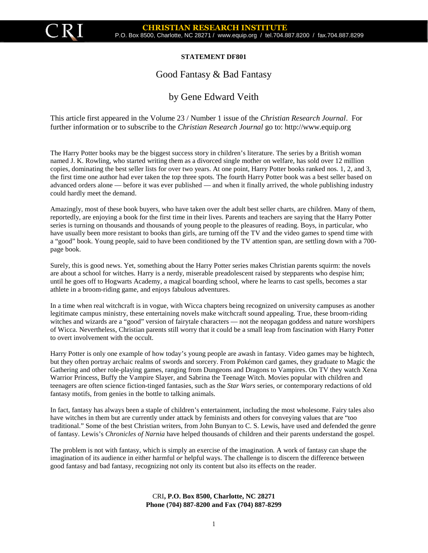

### **STATEMENT DF801**

## Good Fantasy & Bad Fantasy

# by Gene Edward Veith

This article first appeared in the Volume 23 / Number 1 issue of the *Christian Research Journal*. For further information or to subscribe to the *Christian Research Journal* go to: http://www.equip.org

The Harry Potter books may be the biggest success story in children's literature. The series by a British woman named J. K. Rowling, who started writing them as a divorced single mother on welfare, has sold over 12 million copies, dominating the best seller lists for over two years. At one point, Harry Potter books ranked nos. 1, 2, and 3, the first time one author had ever taken the top three spots. The fourth Harry Potter book was a best seller based on advanced orders alone — before it was ever published — and when it finally arrived, the whole publishing industry could hardly meet the demand.

Amazingly, most of these book buyers, who have taken over the adult best seller charts, are children. Many of them, reportedly, are enjoying a book for the first time in their lives. Parents and teachers are saying that the Harry Potter series is turning on thousands and thousands of young people to the pleasures of reading. Boys, in particular, who have usually been more resistant to books than girls, are turning off the TV and the video games to spend time with a "good" book. Young people, said to have been conditioned by the TV attention span, are settling down with a 700 page book.

Surely, this is good news. Yet, something about the Harry Potter series makes Christian parents squirm: the novels are about a school for witches. Harry is a nerdy, miserable preadolescent raised by stepparents who despise him; until he goes off to Hogwarts Academy, a magical boarding school, where he learns to cast spells, becomes a star athlete in a broom-riding game, and enjoys fabulous adventures.

In a time when real witchcraft is in vogue, with Wicca chapters being recognized on university campuses as another legitimate campus ministry, these entertaining novels make witchcraft sound appealing. True, these broom-riding witches and wizards are a "good" version of fairytale characters — not the neopagan goddess and nature worshipers of Wicca. Nevertheless, Christian parents still worry that it could be a small leap from fascination with Harry Potter to overt involvement with the occult.

Harry Potter is only one example of how today's young people are awash in fantasy. Video games may be hightech, but they often portray archaic realms of swords and sorcery. From Pokémon card games, they graduate to Magic the Gathering and other role-playing games, ranging from Dungeons and Dragons to Vampires. On TV they watch Xena Warrior Princess, Buffy the Vampire Slayer, and Sabrina the Teenage Witch. Movies popular with children and teenagers are often science fiction-tinged fantasies, such as the *Star Wars* series, or contemporary redactions of old fantasy motifs, from genies in the bottle to talking animals.

In fact, fantasy has always been a staple of children's entertainment, including the most wholesome. Fairy tales also have witches in them but are currently under attack by feminists and others for conveying values that are "too traditional." Some of the best Christian writers, from John Bunyan to C. S. Lewis, have used and defended the genre of fantasy. Lewis's *Chronicles of Narnia* have helped thousands of children and their parents understand the gospel.

The problem is not with fantasy, which is simply an exercise of the imagination. A work of fantasy can shape the imagination of its audience in either harmful *or* helpful ways. The challenge is to discern the difference between good fantasy and bad fantasy, recognizing not only its content but also its effects on the reader.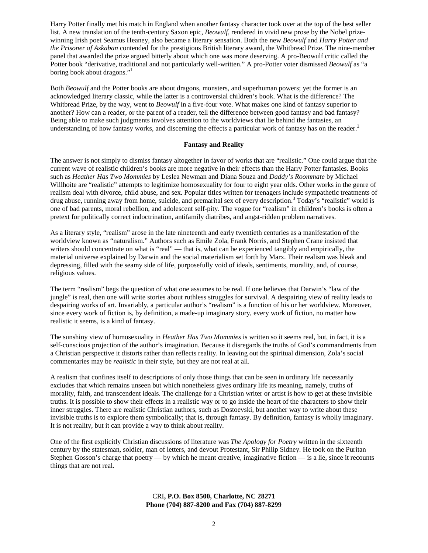Harry Potter finally met his match in England when another fantasy character took over at the top of the best seller list. A new translation of the tenth-century Saxon epic, *Beowulf*, rendered in vivid new prose by the Nobel prizewinning Irish poet Seamus Heaney, also became a literary sensation. Both the new *Beowulf* and *Harry Potter and the Prisoner of Azkaban* contended for the prestigious British literary award, the Whitbread Prize. The nine-member panel that awarded the prize argued bitterly about which one was more deserving. A pro-Beowulf critic called the Potter book "derivative, traditional and not particularly well-written." A pro-Potter voter dismissed *Beowulf* as "a boring book about dragons."<sup>1</sup>

Both *Beowulf* and the Potter books are about dragons, monsters, and superhuman powers; yet the former is an acknowledged literary classic, while the latter is a controversial children's book. What is the difference? The Whitbread Prize, by the way, went to *Beowulf* in a five-four vote. What makes one kind of fantasy superior to another? How can a reader, or the parent of a reader, tell the difference between good fantasy and bad fantasy? Being able to make such judgments involves attention to the worldviews that lie behind the fantasies, an understanding of how fantasy works, and discerning the effects a particular work of fantasy has on the reader. $<sup>2</sup>$ </sup>

#### **Fantasy and Reality**

The answer is not simply to dismiss fantasy altogether in favor of works that are "realistic." One could argue that the current wave of realistic children's books are more negative in their effects than the Harry Potter fantasies. Books such as *Heather Has Two Mommies* by Leslea Newman and Diana Souza and *Daddy's Roommate* by Michael Willhoite are "realistic" attempts to legitimize homosexuality for four to eight year olds. Other works in the genre of realism deal with divorce, child abuse, and sex. Popular titles written for teenagers include sympathetic treatments of drug abuse, running away from home, suicide, and premarital sex of every description.<sup>3</sup> Today's "realistic" world is one of bad parents, moral rebellion, and adolescent self-pity. The vogue for "realism" in children's books is often a pretext for politically correct indoctrination, antifamily diatribes, and angst-ridden problem narratives.

As a literary style, "realism" arose in the late nineteenth and early twentieth centuries as a manifestation of the worldview known as "naturalism." Authors such as Emile Zola, Frank Norris, and Stephen Crane insisted that writers should concentrate on what is "real" — that is, what can be experienced tangibly and empirically, the material universe explained by Darwin and the social materialism set forth by Marx. Their realism was bleak and depressing, filled with the seamy side of life, purposefully void of ideals, sentiments, morality, and, of course, religious values.

The term "realism" begs the question of what one assumes to be real. If one believes that Darwin's "law of the jungle" is real, then one will write stories about ruthless struggles for survival. A despairing view of reality leads to despairing works of art. Invariably, a particular author's "realism" is a function of his or her worldview. Moreover, since every work of fiction is, by definition, a made-up imaginary story, every work of fiction, no matter how realistic it seems, is a kind of fantasy.

The sunshiny view of homosexuality in *Heather Has Two Mommies* is written so it seems real, but, in fact, it is a self-conscious projection of the author's imagination. Because it disregards the truths of God's commandments from a Christian perspective it distorts rather than reflects reality. In leaving out the spiritual dimension, Zola's social commentaries may be *realistic* in their style, but they are not real at all.

A realism that confines itself to descriptions of only those things that can be seen in ordinary life necessarily excludes that which remains unseen but which nonetheless gives ordinary life its meaning, namely, truths of morality, faith, and transcendent ideals. The challenge for a Christian writer or artist is how to get at these invisible truths. It is possible to show their effects in a realistic way or to go inside the heart of the characters to show their inner struggles. There are realistic Christian authors, such as Dostoevski, but another way to write about these invisible truths is to explore them symbolically; that is, through fantasy. By definition, fantasy is wholly imaginary. It is not reality, but it can provide a way to think about reality.

One of the first explicitly Christian discussions of literature was *The Apology for Poetry* written in the sixteenth century by the statesman, soldier, man of letters, and devout Protestant, Sir Philip Sidney. He took on the Puritan Stephen Gosson's charge that poetry — by which he meant creative, imaginative fiction — is a lie, since it recounts things that are not real.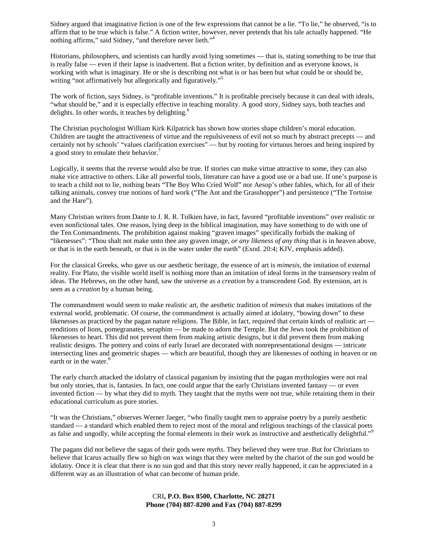Sidney argued that imaginative fiction is one of the few expressions that cannot be a lie. "To lie," he observed, "is to affirm that to be true which is false." A fiction writer, however, never pretends that his tale actually happened. "He nothing affirms," said Sidney, "and therefore never lieth."<sup>4</sup>

Historians, philosophers, and scientists can hardly avoid lying sometimes — that is, stating something to be true that is really false — even if their lapse is inadvertent. But a fiction writer, by definition and as everyone knows, is working with what is imaginary. He or she is describing not what is or has been but what could be or should be, writing "not affirmatively but allegorically and figuratively."<sup>5</sup>

The work of fiction, says Sidney, is "profitable inventions." It is profitable precisely because it can deal with ideals, "what should be," and it is especially effective in teaching morality. A good story, Sidney says, both teaches and delights. In other words, it teaches by delighting.<sup>6</sup>

The Christian psychologist William Kirk Kilpatrick has shown how stories shape children's moral education. Children are taught the attractiveness of virtue and the repulsiveness of evil not so much by abstract precepts — and certainly not by schools' "values clarification exercises" — but by rooting for virtuous heroes and being inspired by a good story to emulate their behavior.<sup>7</sup>

Logically, it seems that the reverse would also be true. If stories can make virtue attractive to some, they can also make vice attractive to others. Like all powerful tools, literature can have a good use or a bad use. If one's purpose is to teach a child not to lie, nothing beats "The Boy Who Cried Wolf" nor Aesop's other fables, which, for all of their talking animals, convey true notions of hard work ("The Ant and the Grasshopper") and persistence ("The Tortoise and the Hare").

Many Christian writers from Dante to J. R. R. Tolkien have, in fact, favored "profitable inventions" over realistic or even nonfictional tales. One reason, lying deep in the biblical imagination, may have something to do with one of the Ten Commandments. The prohibition against making "graven images" specifically forbids the making of "likenesses": "Thou shalt not make unto thee any graven image, *or any likeness of any thing* that is in heaven above, or that is in the earth beneath, or that is in the water under the earth" (Exod. 20:4; KJV, emphasis added).

For the classical Greeks, who gave us our aesthetic heritage, the essence of art is *mimesis*, the imitation of external reality. For Plato, the visible world itself is nothing more than an imitation of ideal forms in the transensory realm of ideas. The Hebrews, on the other hand, saw the universe as a *creation* by a transcendent God. By extension, art is seen as a *creation* by a human being.

The commandment would seem to make realistic art, the aesthetic tradition of *mimesis* that makes imitations of the external world, problematic. Of course, the commandment is actually aimed at idolatry, "bowing down" to these likenesses as practiced by the pagan nature religions. The Bible, in fact, required that certain kinds of realistic art renditions of lions, pomegranates, seraphim — be made to adorn the Temple. But the Jews took the prohibition of likenesses to heart. This did not prevent them from making artistic designs, but it did prevent them from making realistic designs. The pottery and coins of early Israel are decorated with nonrepresentational designs — intricate intersecting lines and geometric shapes — which are beautiful, though they are likenesses of nothing in heaven or on earth or in the water.<sup>8</sup>

The early church attacked the idolatry of classical paganism by insisting that the pagan mythologies were not real but only stories, that is, fantasies. In fact, one could argue that the early Christians invented fantasy — or even invented fiction — by what they did to myth. They taught that the myths were not true, while retaining them in their educational curriculum as pure stories.

"It was the Christians," observes Werner Jaeger, "who finally taught men to appraise poetry by a purely aesthetic standard — a standard which enabled them to reject most of the moral and religious teachings of the classical poets as false and ungodly, while accepting the formal elements in their work as instructive and aesthetically delightful."<sup>9</sup>

The pagans did not believe the sagas of their gods were *myths*. They believed they were true. But for Christians to believe that Icarus actually flew so high on wax wings that they were melted by the chariot of the sun god would be idolatry. Once it is clear that there is no sun god and that this story never really happened, it can be appreciated in a different way as an illustration of what can become of human pride.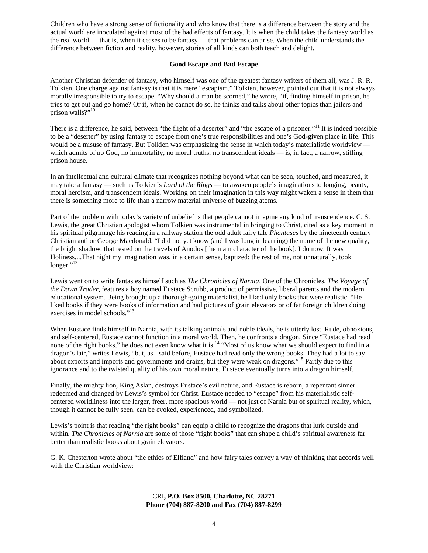Children who have a strong sense of fictionality and who know that there is a difference between the story and the actual world are inoculated against most of the bad effects of fantasy. It is when the child takes the fantasy world as the real world — that is, when it ceases to be fantasy — that problems can arise. When the child understands the difference between fiction and reality, however, stories of all kinds can both teach and delight.

#### **Good Escape and Bad Escape**

Another Christian defender of fantasy, who himself was one of the greatest fantasy writers of them all, was J. R. R. Tolkien. One charge against fantasy is that it is mere "escapism." Tolkien, however, pointed out that it is not always morally irresponsible to try to escape. "Why should a man be scorned," he wrote, "if, finding himself in prison, he tries to get out and go home? Or if, when he cannot do so, he thinks and talks about other topics than jailers and prison walls?"<sup>10</sup>

There is a difference, he said, between "the flight of a deserter" and "the escape of a prisoner."<sup>11</sup> It is indeed possible to be a "deserter" by using fantasy to escape from one's true responsibilities and one's God-given place in life. This would be a misuse of fantasy. But Tolkien was emphasizing the sense in which today's materialistic worldview which admits of no God, no immortality, no moral truths, no transcendent ideals — is, in fact, a narrow, stifling prison house.

In an intellectual and cultural climate that recognizes nothing beyond what can be seen, touched, and measured, it may take a fantasy — such as Tolkien's *Lord of the Rings* — to awaken people's imaginations to longing, beauty, moral heroism, and transcendent ideals. Working on their imagination in this way might waken a sense in them that there is something more to life than a narrow material universe of buzzing atoms.

Part of the problem with today's variety of unbelief is that people cannot imagine any kind of transcendence. C. S. Lewis, the great Christian apologist whom Tolkien was instrumental in bringing to Christ, cited as a key moment in his spiritual pilgrimage his reading in a railway station the odd adult fairy tale *Phantases* by the nineteenth century Christian author George Macdonald. "I did not yet know (and I was long in learning) the name of the new quality, the bright shadow, that rested on the travels of Anodos [the main character of the book]. I do now. It was Holiness....That night my imagination was, in a certain sense, baptized; the rest of me, not unnaturally, took longer."<sup>12</sup>

Lewis went on to write fantasies himself such as *The Chronicles of Narnia*. One of the Chronicles, *The Voyage of the Dawn Trader*, features a boy named Eustace Scrubb, a product of permissive, liberal parents and the modern educational system. Being brought up a thorough-going materialist, he liked only books that were realistic. "He liked books if they were books of information and had pictures of grain elevators or of fat foreign children doing exercises in model schools."<sup>13</sup>

When Eustace finds himself in Narnia, with its talking animals and noble ideals, he is utterly lost. Rude, obnoxious, and self-centered, Eustace cannot function in a moral world. Then, he confronts a dragon. Since "Eustace had read none of the right books," he does not even know what it is.<sup>14</sup> "Most of us know what we should expect to find in a dragon's lair," writes Lewis, "but, as I said before, Eustace had read only the wrong books. They had a lot to say about exports and imports and governments and drains, but they were weak on dragons."<sup>15</sup> Partly due to this ignorance and to the twisted quality of his own moral nature, Eustace eventually turns into a dragon himself.

Finally, the mighty lion, King Aslan, destroys Eustace's evil nature, and Eustace is reborn, a repentant sinner redeemed and changed by Lewis's symbol for Christ. Eustace needed to "escape" from his materialistic selfcentered worldliness into the larger, freer, more spacious world — not just of Narnia but of spiritual reality, which, though it cannot be fully seen, can be evoked, experienced, and symbolized.

Lewis's point is that reading "the right books" can equip a child to recognize the dragons that lurk outside and within. The Chronicles of Narnia are some of those "right books" that can shape a child's spiritual awareness far better than realistic books about grain elevators.

G. K. Chesterton wrote about "the ethics of Elfland" and how fairy tales convey a way of thinking that accords well with the Christian worldview: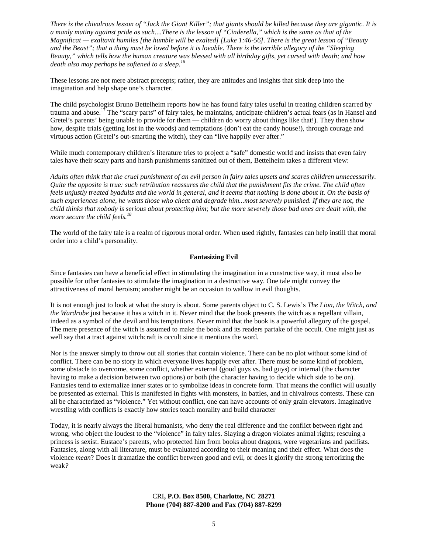*There is the chivalrous lesson of "Jack the Giant Killer"; that giants should be killed because they are gigantic. It is a manly mutiny against pride as such....There is the lesson of "Cinderella," which is the same as that of the Magnificat — exaltavit humiles [the humble will be exalted] [Luke 1:46-56]. There is the great lesson of "Beauty and the Beast"; that a thing must be loved before it is lovable. There is the terrible allegory of the "Sleeping Beauty," which tells how the human creature was blessed with all birthday gifts, yet cursed with death; and how death also may perhaps be softened to a sleep.<sup>16</sup>*

These lessons are not mere abstract precepts; rather, they are attitudes and insights that sink deep into the imagination and help shape one's character.

The child psychologist Bruno Bettelheim reports how he has found fairy tales useful in treating children scarred by trauma and abuse.<sup>17</sup> The "scary parts" of fairy tales, he maintains, anticipate children's actual fears (as in Hansel and Gretel's parents' being unable to provide for them — children do worry about things like that!). They then show how, despite trials (getting lost in the woods) and temptations (don't eat the candy house!), through courage and virtuous action (Gretel's out-smarting the witch), they can "live happily ever after."

While much contemporary children's literature tries to project a "safe" domestic world and insists that even fairy tales have their scary parts and harsh punishments sanitized out of them, Bettelheim takes a different view:

*Adults often think that the cruel punishment of an evil person in fairy tales upsets and scares children unnecessarily. Quite the opposite is true: such retribution reassures the child that the punishment fits the crime. The child often feels unjustly treated byadults and the world in general, and it seems that nothing is done about it. On the basis of such experiences alone, he wants those who cheat and degrade him...most severely punished. If they are not, the child thinks that nobody is serious about protecting him; but the more severely those bad ones are dealt with, the more secure the child feels.<sup>18</sup>*

The world of the fairy tale is a realm of rigorous moral order. When used rightly, fantasies can help instill that moral order into a child's personality.

#### **Fantasizing Evil**

Since fantasies can have a beneficial effect in stimulating the imagination in a constructive way, it must also be possible for other fantasies to stimulate the imagination in a destructive way. One tale might convey the attractiveness of moral heroism; another might be an occasion to wallow in evil thoughts.

It is not enough just to look at what the story is about. Some parents object to C. S. Lewis's *The Lion, the Witch, and the Wardrobe* just because it has a witch in it. Never mind that the book presents the witch as a repellant villain, indeed as a symbol of the devil and his temptations. Never mind that the book is a powerful allegory of the gospel. The mere presence of the witch is assumed to make the book and its readers partake of the occult. One might just as well say that a tract against witchcraft is occult since it mentions the word.

Nor is the answer simply to throw out all stories that contain violence. There can be no plot without some kind of conflict. There can be no story in which everyone lives happily ever after. There must be some kind of problem, some obstacle to overcome, some conflict, whether external (good guys vs. bad guys) or internal (the character having to make a decision between two options) or both (the character having to decide which side to be on). Fantasies tend to externalize inner states or to symbolize ideas in concrete form. That means the conflict will usually be presented as external. This is manifested in fights with monsters, in battles, and in chivalrous contests. These can all be characterized as "violence." Yet without conflict, one can have accounts of only grain elevators. Imaginative wrestling with conflicts is exactly how stories teach morality and build character

Today, it is nearly always the liberal humanists, who deny the real difference and the conflict between right and wrong, who object the loudest to the "violence" in fairy tales. Slaying a dragon violates animal rights; rescuing a princess is sexist. Eustace's parents, who protected him from books about dragons, were vegetarians and pacifists. Fantasies, along with all literature, must be evaluated according to their meaning and their effect. What does the violence *mean*? Does it dramatize the conflict between good and evil, or does it glorify the strong terrorizing the weak*?*

*.*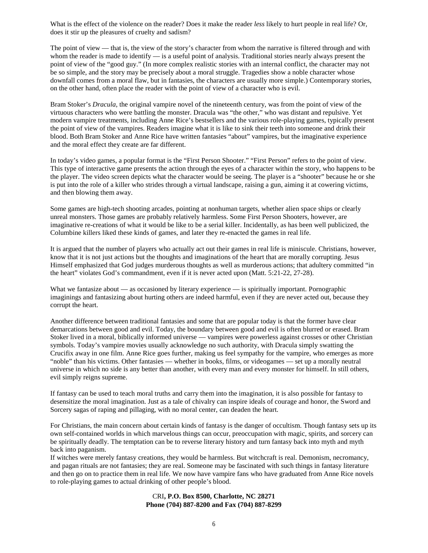What is the effect of the violence on the reader? Does it make the reader *less* likely to hurt people in real life? Or, does it stir up the pleasures of cruelty and sadism?

The point of view — that is, the view of the story's character from whom the narrative is filtered through and with whom the reader is made to identify — is a useful point of analysis. Traditional stories nearly always present the point of view of the "good guy." (In more complex realistic stories with an internal conflict, the character may not be so simple, and the story may be precisely about a moral struggle. Tragedies show a noble character whose downfall comes from a moral flaw, but in fantasies, the characters are usually more simple.) Contemporary stories, on the other hand, often place the reader with the point of view of a character who is evil.

Bram Stoker's *Dracula*, the original vampire novel of the nineteenth century, was from the point of view of the virtuous characters who were battling the monster. Dracula was "the other," who was distant and repulsive. Yet modern vampire treatments, including Anne Rice's bestsellers and the various role-playing games, typically present the point of view of the vampires. Readers imagine what it is like to sink their teeth into someone and drink their blood. Both Bram Stoker and Anne Rice have written fantasies "about" vampires, but the imaginative experience and the moral effect they create are far different.

In today's video games, a popular format is the "First Person Shooter." "First Person" refers to the point of view. This type of interactive game presents the action through the eyes of a character within the story, who happens to be the player. The video screen depicts what the character would be seeing. The player is a "shooter" because he or she is put into the role of a killer who strides through a virtual landscape, raising a gun, aiming it at cowering victims, and then blowing them away.

Some games are high-tech shooting arcades, pointing at nonhuman targets, whether alien space ships or clearly unreal monsters. Those games are probably relatively harmless. Some First Person Shooters, however, are imaginative re-creations of what it would be like to be a serial killer. Incidentally, as has been well publicized, the Columbine killers liked these kinds of games, and later they re-enacted the games in real life.

It is argued that the number of players who actually act out their games in real life is miniscule. Christians, however, know that it is not just actions but the thoughts and imaginations of the heart that are morally corrupting. Jesus Himself emphasized that God judges murderous thoughts as well as murderous actions; that adultery committed "in the heart" violates God's commandment, even if it is never acted upon (Matt. 5:21-22, 27-28).

What we fantasize about — as occasioned by literary experience — is spiritually important. Pornographic imaginings and fantasizing about hurting others are indeed harmful, even if they are never acted out, because they corrupt the heart.

Another difference between traditional fantasies and some that are popular today is that the former have clear demarcations between good and evil. Today, the boundary between good and evil is often blurred or erased. Bram Stoker lived in a moral, biblically informed universe — vampires were powerless against crosses or other Christian symbols. Today's vampire movies usually acknowledge no such authority, with Dracula simply swatting the Crucifix away in one film. Anne Rice goes further, making us feel sympathy for the vampire, who emerges as more "noble" than his victims. Other fantasies — whether in books, films, or videogames — set up a morally neutral universe in which no side is any better than another, with every man and every monster for himself. In still others, evil simply reigns supreme.

If fantasy can be used to teach moral truths and carry them into the imagination, it is also possible for fantasy to desensitize the moral imagination. Just as a tale of chivalry can inspire ideals of courage and honor, the Sword and Sorcery sagas of raping and pillaging, with no moral center, can deaden the heart.

For Christians, the main concern about certain kinds of fantasy is the danger of occultism. Though fantasy sets up its own self-contained worlds in which marvelous things can occur, preoccupation with magic, spirits, and sorcery can be spiritually deadly. The temptation can be to reverse literary history and turn fantasy back into myth and myth back into paganism.

If witches were merely fantasy creations, they would be harmless. But witchcraft is real. Demonism, necromancy, and pagan rituals are not fantasies; they are real. Someone may be fascinated with such things in fantasy literature and then go on to practice them in real life. We now have vampire fans who have graduated from Anne Rice novels to role-playing games to actual drinking of other people's blood.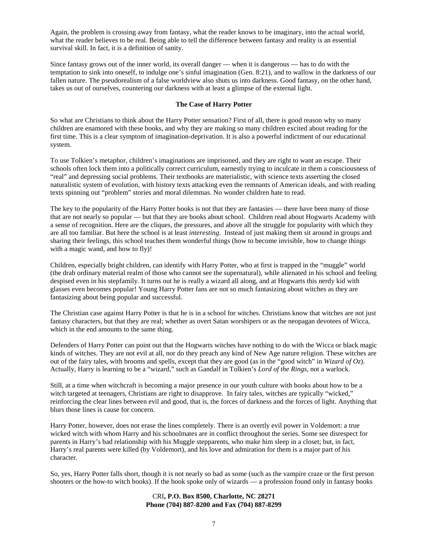Again, the problem is crossing away from fantasy, what the reader knows to be imaginary, into the actual world, what the reader believes to be real. Being able to tell the difference between fantasy and reality is an essential survival skill. In fact, it is a definition of sanity.

Since fantasy grows out of the inner world, its overall danger — when it is dangerous — has to do with the temptation to sink into oneself, to indulge one's sinful imagination (Gen. 8:21), and to wallow in the darkness of our fallen nature. The pseudorealism of a false worldview also shuts us into darkness. Good fantasy, on the other hand, takes us out of ourselves, countering our darkness with at least a glimpse of the external light.

#### **The Case of Harry Potter**

So what are Christians to think about the Harry Potter sensation? First of all, there is good reason why so many children are enamored with these books, and why they are making so many children excited about reading for the first time. This is a clear symptom of imagination-deprivation. It is also a powerful indictment of our educational system.

To use Tolkien's metaphor, children's imaginations are imprisoned, and they are right to want an escape. Their schools often lock them into a politically correct curriculum, earnestly trying to inculcate in them a consciousness of "real" and depressing social problems. Their textbooks are materialistic, with science texts asserting the closed naturalistic system of evolution, with history texts attacking even the remnants of American ideals, and with reading texts spinning out "problem" stories and moral dilemmas. No wonder children hate to read.

The key to the popularity of the Harry Potter books is not that they are fantasies — there have been many of those that are not nearly so popular — but that they are books about school. Children read about Hogwarts Academy with a sense of recognition. Here are the cliques, the pressures, and above all the struggle for popularity with which they are all too familiar. But here the school is at least *interesting*. Instead of just making them sit around in groups and sharing their feelings, this school teaches them wonderful things (how to become invisible, how to change things with a magic wand, and how to fly)!

Children, especially bright children, can identify with Harry Potter, who at first is trapped in the "muggle" world (the drab ordinary material realm of those who cannot see the supernatural), while alienated in his school and feeling despised even in his stepfamily. It turns out he is really a wizard all along, and at Hogwarts this nerdy kid with glasses even becomes popular! Young Harry Potter fans are not so much fantasizing about witches as they are fantasizing about being popular and successful.

The Christian case against Harry Potter is that he is in a school for witches. Christians know that witches are not just fantasy characters, but that they are real; whether as overt Satan worshipers or as the neopagan devotees of Wicca, which in the end amounts to the same thing.

Defenders of Harry Potter can point out that the Hogwarts witches have nothing to do with the Wicca or black magic kinds of witches. They are not evil at all, nor do they preach any kind of New Age nature religion. These witches are out of the fairy tales, with brooms and spells, except that they are good (as in the "good witch" in *Wizard of Oz*). Actually, Harry is learning to be a "wizard," such as Gandalf in Tolkien's *Lord of the Rings*, not a warlock.

Still, at a time when witchcraft is becoming a major presence in our youth culture with books about how to be a witch targeted at teenagers, Christians are right to disapprove. In fairy tales, witches are typically "wicked," reinforcing the clear lines between evil and good, that is, the forces of darkness and the forces of light. Anything that blurs those lines is cause for concern.

Harry Potter, however, does not erase the lines completely. There is an overtly evil power in Voldemort: a true wicked witch with whom Harry and his schoolmates are in conflict throughout the series. Some see disrespect for parents in Harry's bad relationship with his Muggle stepparents, who make him sleep in a closet; but, in fact, Harry's real parents were killed (by Voldemort), and his love and admiration for them is a major part of his character.

So, yes, Harry Potter falls short, though it is not nearly so bad as some (such as the vampire craze or the first person shooters or the how-to witch books). If the book spoke only of wizards — a profession found only in fantasy books